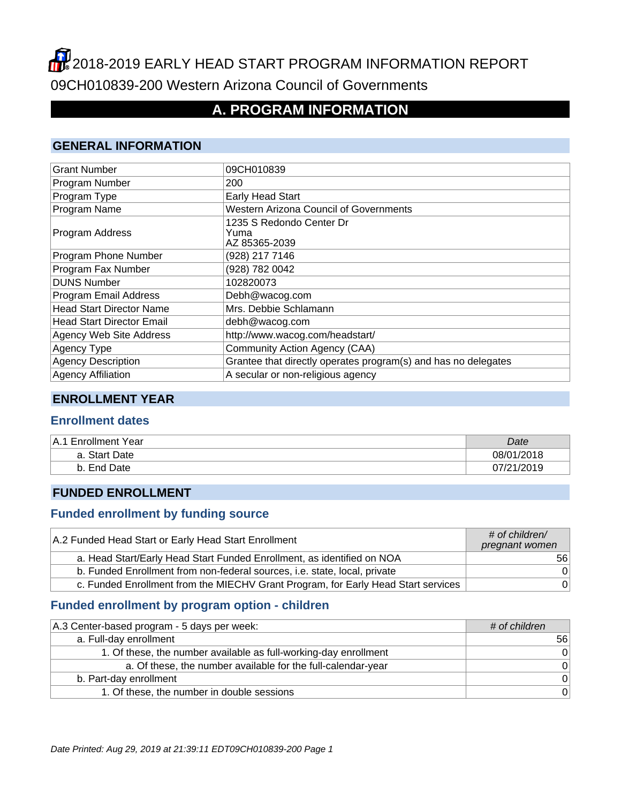# 2018-2019 EARLY HEAD START PROGRAM INFORMATION REPORT 09CH010839-200 Western Arizona Council of Governments

## **A. PROGRAM INFORMATION**

#### **GENERAL INFORMATION**

| <b>Grant Number</b>              | 09CH010839                                                     |
|----------------------------------|----------------------------------------------------------------|
| Program Number                   | 200                                                            |
| Program Type                     | <b>Early Head Start</b>                                        |
| Program Name                     | <b>Western Arizona Council of Governments</b>                  |
| Program Address                  | 1235 S Redondo Center Dr<br>Yuma<br>AZ 85365-2039              |
| Program Phone Number             | (928) 217 7146                                                 |
| Program Fax Number               | (928) 782 0042                                                 |
| <b>DUNS Number</b>               | 102820073                                                      |
| Program Email Address            | Debh@wacog.com                                                 |
| <b>Head Start Director Name</b>  | Mrs. Debbie Schlamann                                          |
| <b>Head Start Director Email</b> | debh@wacog.com                                                 |
| <b>Agency Web Site Address</b>   | http://www.wacog.com/headstart/                                |
| Agency Type                      | Community Action Agency (CAA)                                  |
| <b>Agency Description</b>        | Grantee that directly operates program(s) and has no delegates |
| <b>Agency Affiliation</b>        | A secular or non-religious agency                              |

#### **ENROLLMENT YEAR**

#### **Enrollment dates**

| IA.1 Enrollment Year | Date       |
|----------------------|------------|
| a. Start Date        | 08/01/2018 |
| End Date             | 07/21/2019 |

#### **FUNDED ENROLLMENT**

#### **Funded enrollment by funding source**

| A.2 Funded Head Start or Early Head Start Enrollment                              | $#$ of children/<br>pregnant women |
|-----------------------------------------------------------------------------------|------------------------------------|
| a. Head Start/Early Head Start Funded Enrollment, as identified on NOA            | 56 <sup>1</sup>                    |
| b. Funded Enrollment from non-federal sources, i.e. state, local, private         | 0                                  |
| c. Funded Enrollment from the MIECHV Grant Program, for Early Head Start services | 0                                  |

## **Funded enrollment by program option - children**

| A.3 Center-based program - 5 days per week:                      | # of children  |
|------------------------------------------------------------------|----------------|
| a. Full-day enrollment                                           | 56             |
| 1. Of these, the number available as full-working-day enrollment | $\overline{0}$ |
| a. Of these, the number available for the full-calendar-year     | $\Omega$       |
| b. Part-day enrollment                                           | $\overline{0}$ |
| 1. Of these, the number in double sessions                       | $\overline{0}$ |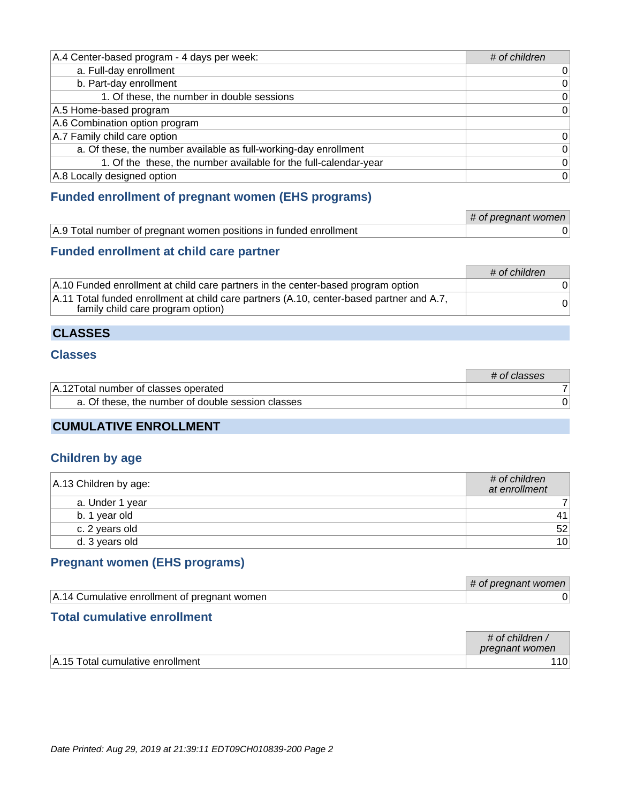| A.4 Center-based program - 4 days per week:                      | # of children   |
|------------------------------------------------------------------|-----------------|
| a. Full-day enrollment                                           | 0               |
| b. Part-day enrollment                                           | $\vert 0 \vert$ |
| 1. Of these, the number in double sessions                       | 0               |
| A.5 Home-based program                                           | $\overline{0}$  |
| A.6 Combination option program                                   |                 |
| A.7 Family child care option                                     | 0               |
| a. Of these, the number available as full-working-day enrollment | $\vert 0 \vert$ |
| 1. Of the these, the number available for the full-calendar-year | $\vert 0 \vert$ |
| A.8 Locally designed option                                      | 0               |

#### **Funded enrollment of pregnant women (EHS programs)**

|                                                                   | # of pregnant women |
|-------------------------------------------------------------------|---------------------|
| A.9 Total number of pregnant women positions in funded enrollment |                     |

#### **Funded enrollment at child care partner**

|                                                                                                                               | $\#$ of children |
|-------------------------------------------------------------------------------------------------------------------------------|------------------|
| A.10 Funded enrollment at child care partners in the center-based program option                                              |                  |
| A.11 Total funded enrollment at child care partners (A.10, center-based partner and A.7,<br>family child care program option) |                  |

#### **CLASSES**

#### **Classes**

|                                                   | # of classes |
|---------------------------------------------------|--------------|
| A.12 Total number of classes operated             |              |
| a. Of these, the number of double session classes |              |

## **CUMULATIVE ENROLLMENT**

#### **Children by age**

| $ A.13$ Children by age: | $\#$ of children<br>at enrollment |
|--------------------------|-----------------------------------|
| a. Under 1 year          |                                   |
| b. 1 year old            | 41                                |
| c. 2 years old           | 52                                |
| d. 3 years old           | 10 <sup>1</sup>                   |

### **Pregnant women (EHS programs)**

|                                              | # of pregnant women |
|----------------------------------------------|---------------------|
| A.14 Cumulative enrollment of pregnant women |                     |

#### **Total cumulative enrollment**

|                                       | # of children $\overline{A}$<br>pregnant women |
|---------------------------------------|------------------------------------------------|
| ⊤∆ 15.<br>Total cumulative enrollment |                                                |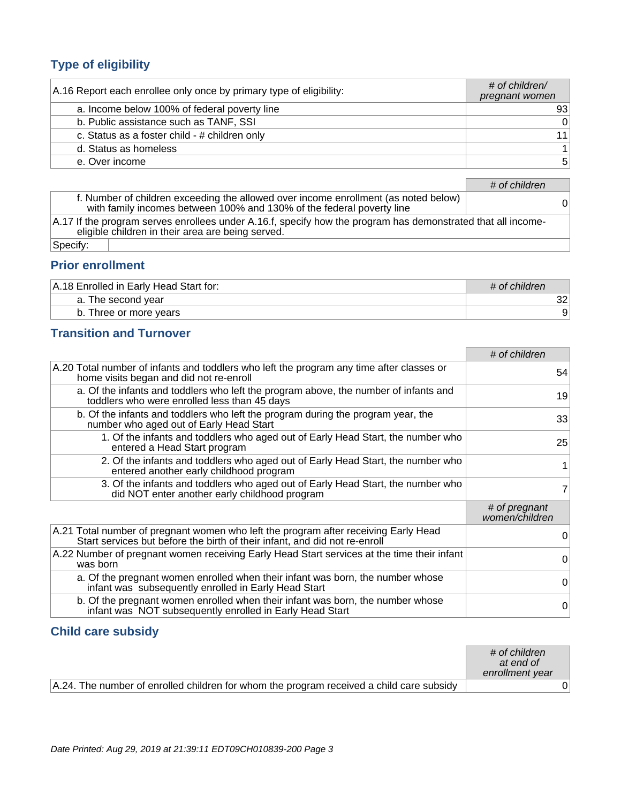## **Type of eligibility**

| A.16 Report each enrollee only once by primary type of eligibility: | $#$ of children/<br>pregnant women |
|---------------------------------------------------------------------|------------------------------------|
| a. Income below 100% of federal poverty line                        | 93                                 |
| b. Public assistance such as TANF, SSI                              | 0                                  |
| c. Status as a foster child - # children only                       | 11                                 |
| d. Status as homeless                                               |                                    |
| e. Over income                                                      | 5                                  |

|                                                                                                                                                                   | # of children |  |
|-------------------------------------------------------------------------------------------------------------------------------------------------------------------|---------------|--|
| f. Number of children exceeding the allowed over income enrollment (as noted below)<br>with family incomes between 100% and 130% of the federal poverty line      | 01            |  |
| A.17 If the program serves enrollees under A.16.f, specify how the program has demonstrated that all income-<br>eligible children in their area are being served. |               |  |
| ∣Specify:                                                                                                                                                         |               |  |

### **Prior enrollment**

| A.18 Enrolled in Early Head Start for: | # of children |
|----------------------------------------|---------------|
| a. The second year                     | າາ<br>ےت      |
| b. Three or more years                 | 9             |

## **Transition and Turnover**

|                                                                                                                                                                   | # of children                   |
|-------------------------------------------------------------------------------------------------------------------------------------------------------------------|---------------------------------|
| A.20 Total number of infants and toddlers who left the program any time after classes or<br>home visits began and did not re-enroll                               | 54                              |
| a. Of the infants and toddlers who left the program above, the number of infants and<br>toddlers who were enrolled less than 45 days                              | 19                              |
| b. Of the infants and toddlers who left the program during the program year, the<br>number who aged out of Early Head Start                                       | 33                              |
| 1. Of the infants and toddlers who aged out of Early Head Start, the number who<br>entered a Head Start program                                                   | 25                              |
| 2. Of the infants and toddlers who aged out of Early Head Start, the number who<br>entered another early childhood program                                        |                                 |
| 3. Of the infants and toddlers who aged out of Early Head Start, the number who<br>did NOT enter another early childhood program                                  | 7                               |
|                                                                                                                                                                   | # of pregnant<br>women/children |
| A.21 Total number of pregnant women who left the program after receiving Early Head<br>Start services but before the birth of their infant, and did not re-enroll | 0                               |
| A.22 Number of pregnant women receiving Early Head Start services at the time their infant<br>was born                                                            | 0                               |
| a. Of the pregnant women enrolled when their infant was born, the number whose<br>infant was subsequently enrolled in Early Head Start                            | 0                               |
| b. Of the pregnant women enrolled when their infant was born, the number whose<br>infant was NOT subsequently enrolled in Early Head Start                        | $\Omega$                        |

#### **Child care subsidy**

|                                                                                          | # of children<br>at end of<br>enrollment year |
|------------------------------------------------------------------------------------------|-----------------------------------------------|
| A.24. The number of enrolled children for whom the program received a child care subsidy |                                               |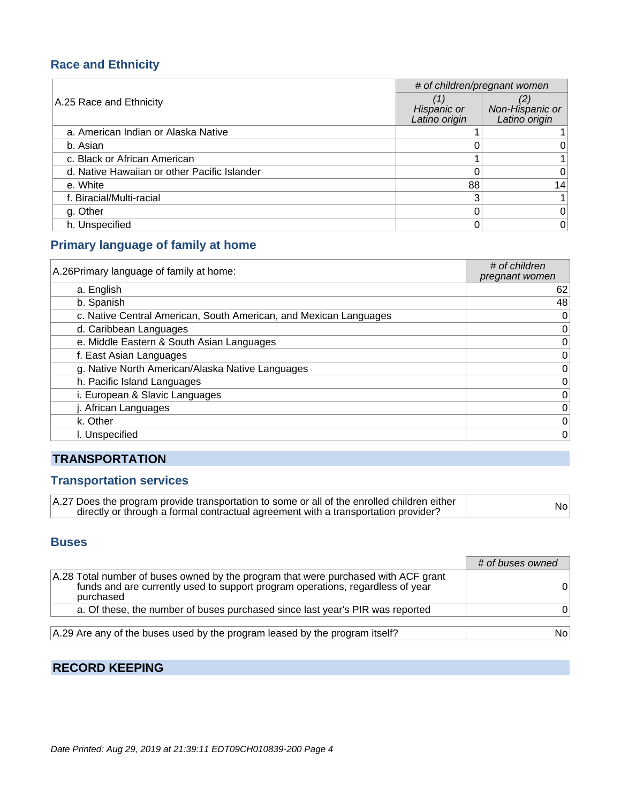#### **Race and Ethnicity**

|                                              | # of children/pregnant women |                                  |
|----------------------------------------------|------------------------------|----------------------------------|
| A.25 Race and Ethnicity                      | Hispanic or<br>Latino origin | Non-Hispanic or<br>Latino origin |
| a. American Indian or Alaska Native          |                              |                                  |
| b. Asian                                     |                              |                                  |
| c. Black or African American                 |                              |                                  |
| d. Native Hawaiian or other Pacific Islander |                              | 0                                |
| e. White                                     | 88                           | 14                               |
| f. Biracial/Multi-racial                     | 3                            |                                  |
| g. Other                                     |                              | 0                                |
| h. Unspecified                               |                              | 0                                |

#### **Primary language of family at home**

| A.26 Primary language of family at home:                          | # of children<br>pregnant women |
|-------------------------------------------------------------------|---------------------------------|
| a. English                                                        | 62                              |
| b. Spanish                                                        | 48                              |
| c. Native Central American, South American, and Mexican Languages | 0                               |
| d. Caribbean Languages                                            | 0                               |
| e. Middle Eastern & South Asian Languages                         | $\mathbf 0$                     |
| f. East Asian Languages                                           | 0                               |
| g. Native North American/Alaska Native Languages                  | $\mathbf 0$                     |
| h. Pacific Island Languages                                       | $\mathbf 0$                     |
| i. European & Slavic Languages                                    | $\mathbf 0$                     |
| j. African Languages                                              | 0                               |
| k. Other                                                          | $\mathbf 0$                     |
| I. Unspecified                                                    | $\mathbf 0$                     |

## **TRANSPORTATION**

#### **Transportation services**

| A.27 Does the program provide transportation to some or all of the enrolled children either | Nol |
|---------------------------------------------------------------------------------------------|-----|
| directly or through a formal contractual agreement with a transportation provider?          |     |

#### **Buses**

|                                                                                                                                                                                   | # of buses owned |
|-----------------------------------------------------------------------------------------------------------------------------------------------------------------------------------|------------------|
| A.28 Total number of buses owned by the program that were purchased with ACF grant<br>funds and are currently used to support program operations, regardless of year<br>purchased | $^{\rm o}$       |
| a. Of these, the number of buses purchased since last year's PIR was reported                                                                                                     | O.               |
| A.29 Are any of the buses used by the program leased by the program itself?                                                                                                       | No.              |

## **RECORD KEEPING**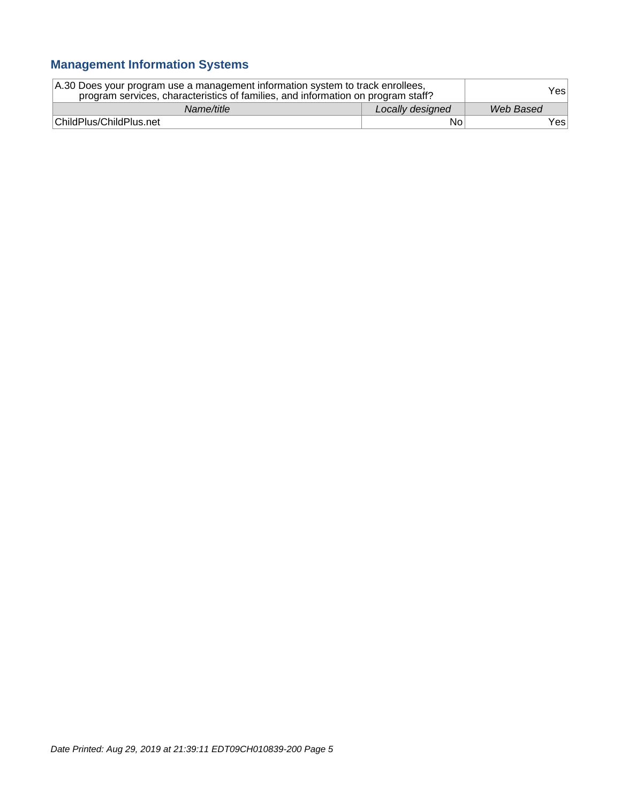## **Management Information Systems**

| A.30 Does your program use a management information system to track enrollees,<br>program services, characteristics of families, and information on program staff? |                  | Yesl      |
|--------------------------------------------------------------------------------------------------------------------------------------------------------------------|------------------|-----------|
| Name/title                                                                                                                                                         | Locally designed | Web Based |
| ChildPlus/ChildPlus.net                                                                                                                                            | No               | Yes∣      |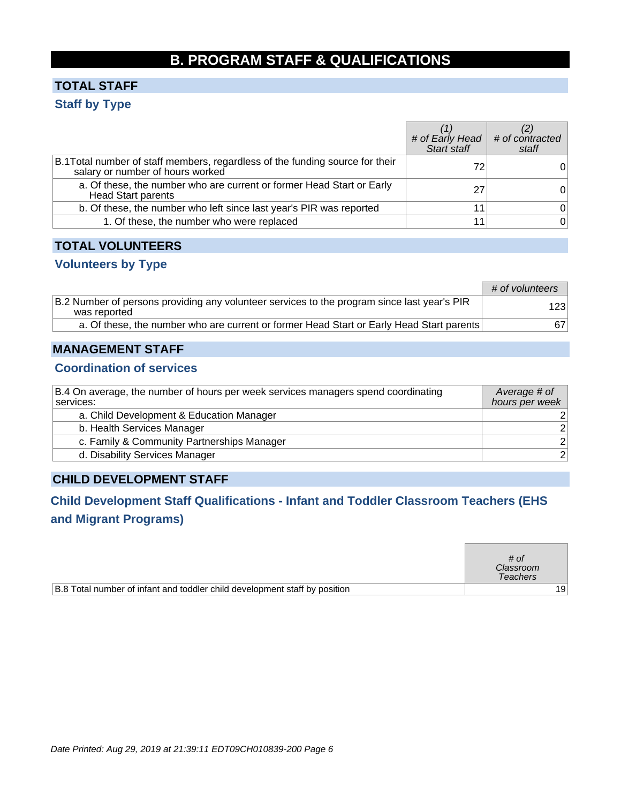## **B. PROGRAM STAFF & QUALIFICATIONS**

## **TOTAL STAFF Staff by Type**

|                                                                                                                   | # of Early Head # of contracted<br>Start staff | staff |
|-------------------------------------------------------------------------------------------------------------------|------------------------------------------------|-------|
| B.1 Total number of staff members, regardless of the funding source for their<br>salary or number of hours worked | 72                                             |       |
| a. Of these, the number who are current or former Head Start or Early<br><b>Head Start parents</b>                | 27                                             |       |
| b. Of these, the number who left since last year's PIR was reported                                               |                                                | 0     |
| 1. Of these, the number who were replaced                                                                         |                                                | 0     |

#### **TOTAL VOLUNTEERS**

#### **Volunteers by Type**

|                                                                                                             | # of volunteers |
|-------------------------------------------------------------------------------------------------------------|-----------------|
| B.2 Number of persons providing any volunteer services to the program since last year's PIR<br>was reported | 123             |
| a. Of these, the number who are current or former Head Start or Early Head Start parents                    | 671             |

#### **MANAGEMENT STAFF**

#### **Coordination of services**

| B.4 On average, the number of hours per week services managers spend coordinating<br>services: | Average # of<br>hours per week |
|------------------------------------------------------------------------------------------------|--------------------------------|
| a. Child Development & Education Manager                                                       |                                |
| b. Health Services Manager                                                                     | 2 <sup>1</sup>                 |
| c. Family & Community Partnerships Manager                                                     | 2 <sup>1</sup>                 |
| d. Disability Services Manager                                                                 | 2 <sup>1</sup>                 |

#### **CHILD DEVELOPMENT STAFF**

## **Child Development Staff Qualifications - Infant and Toddler Classroom Teachers (EHS and Migrant Programs)**

|                                                                            | # of<br>Classroom<br><b>Teachers</b> |                 |
|----------------------------------------------------------------------------|--------------------------------------|-----------------|
| B.8 Total number of infant and toddler child development staff by position |                                      | 19 <sup>1</sup> |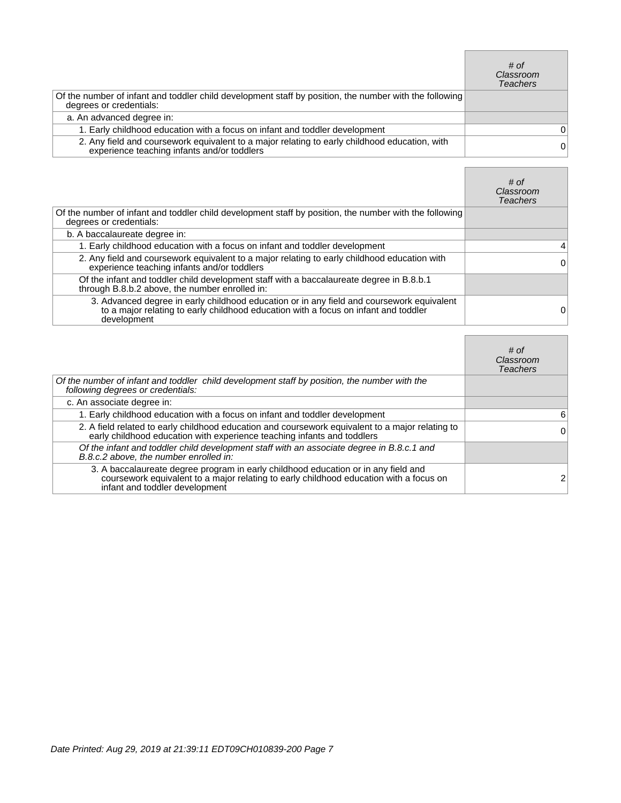|                                                                                                                                              | # of<br>Classroom<br><b>Teachers</b> |
|----------------------------------------------------------------------------------------------------------------------------------------------|--------------------------------------|
| Of the number of infant and toddler child development staff by position, the number with the following<br>degrees or credentials:            |                                      |
| a. An advanced degree in:                                                                                                                    |                                      |
| 1. Early childhood education with a focus on infant and toddler development                                                                  | 0                                    |
| 2. Any field and coursework equivalent to a major relating to early childhood education, with<br>experience teaching infants and/or toddlers | 0                                    |

 $\Box$ 

<u> 1989 - Johann Barnett, mars et al. 1989 - Anna ann an t-</u>

|                                                                                                                                                                                                 | # of<br>Classroom<br><b>Teachers</b> |
|-------------------------------------------------------------------------------------------------------------------------------------------------------------------------------------------------|--------------------------------------|
| Of the number of infant and toddler child development staff by position, the number with the following<br>degrees or credentials:                                                               |                                      |
| b. A baccalaureate degree in:                                                                                                                                                                   |                                      |
| 1. Early childhood education with a focus on infant and toddler development                                                                                                                     | 4                                    |
| 2. Any field and coursework equivalent to a major relating to early childhood education with<br>experience teaching infants and/or toddlers                                                     | 0                                    |
| Of the infant and toddler child development staff with a baccalaureate degree in B.8.b.1<br>through B.8.b.2 above, the number enrolled in:                                                      |                                      |
| 3. Advanced degree in early childhood education or in any field and coursework equivalent<br>to a major relating to early childhood education with a focus on infant and toddler<br>development | 0                                    |

|                                                                                                                                                                                                                | # of<br>Classroom<br>Teachers |
|----------------------------------------------------------------------------------------------------------------------------------------------------------------------------------------------------------------|-------------------------------|
| Of the number of infant and toddler child development staff by position, the number with the<br>following degrees or credentials:                                                                              |                               |
| c. An associate degree in:                                                                                                                                                                                     |                               |
| 1. Early childhood education with a focus on infant and toddler development                                                                                                                                    | 6                             |
| 2. A field related to early childhood education and coursework equivalent to a major relating to<br>early childhood education with experience teaching infants and toddlers                                    | 0                             |
| Of the infant and toddler child development staff with an associate degree in B.8.c.1 and<br>B.8.c.2 above, the number enrolled in:                                                                            |                               |
| 3. A baccalaureate degree program in early childhood education or in any field and<br>coursework equivalent to a major relating to early childhood education with a focus on<br>infant and toddler development |                               |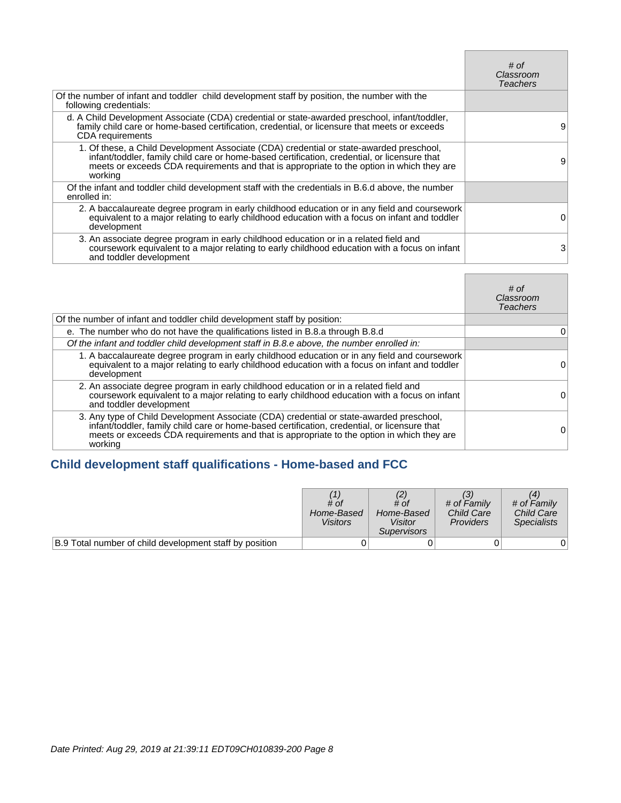|                                                                                                                                                                                                                                                                                                 | # of<br>Classroom<br>Teachers |
|-------------------------------------------------------------------------------------------------------------------------------------------------------------------------------------------------------------------------------------------------------------------------------------------------|-------------------------------|
| Of the number of infant and toddler child development staff by position, the number with the<br>following credentials:                                                                                                                                                                          |                               |
| d. A Child Development Associate (CDA) credential or state-awarded preschool, infant/toddler,<br>family child care or home-based certification, credential, or licensure that meets or exceeds<br>CDA requirements                                                                              | 9                             |
| 1. Of these, a Child Development Associate (CDA) credential or state-awarded preschool,<br>infant/toddler, family child care or home-based certification, credential, or licensure that<br>meets or exceeds CDA requirements and that is appropriate to the option in which they are<br>working | 9                             |
| Of the infant and toddler child development staff with the credentials in B.6.d above, the number<br>enrolled in:                                                                                                                                                                               |                               |
| 2. A baccalaureate degree program in early childhood education or in any field and coursework<br>equivalent to a major relating to early childhood education with a focus on infant and toddler<br>development                                                                                  | O)                            |
| 3. An associate degree program in early childhood education or in a related field and<br>coursework equivalent to a major relating to early childhood education with a focus on infant<br>and toddler development                                                                               | 3                             |

**Contract Contract** 

 $\blacksquare$ 

|                                                                                                                                                                                                                                                                                                 | # of<br>Classroom<br>Teachers |
|-------------------------------------------------------------------------------------------------------------------------------------------------------------------------------------------------------------------------------------------------------------------------------------------------|-------------------------------|
| Of the number of infant and toddler child development staff by position:                                                                                                                                                                                                                        |                               |
| e. The number who do not have the qualifications listed in B.8.a through B.8.d                                                                                                                                                                                                                  | 0                             |
| Of the infant and toddler child development staff in B.8.e above, the number enrolled in:                                                                                                                                                                                                       |                               |
| 1. A baccalaureate degree program in early childhood education or in any field and coursework<br>equivalent to a major relating to early childhood education with a focus on infant and toddler<br>development                                                                                  | 0                             |
| 2. An associate degree program in early childhood education or in a related field and<br>coursework equivalent to a major relating to early childhood education with a focus on infant<br>and toddler development                                                                               | $\Omega$                      |
| 3. Any type of Child Development Associate (CDA) credential or state-awarded preschool,<br>infant/toddler, family child care or home-based certification, credential, or licensure that<br>meets or exceeds CDA requirements and that is appropriate to the option in which they are<br>working | Ω                             |

## **Child development staff qualifications - Home-based and FCC**

|                                                         | # of<br>Home-Based<br><b>Visitors</b> | # of<br>Home-Based<br>Visitor<br><i>Supervisors</i> | # of Family<br><b>Child Care</b><br><b>Providers</b> | # of Family<br><b>Child Care</b><br><b>Specialists</b> |
|---------------------------------------------------------|---------------------------------------|-----------------------------------------------------|------------------------------------------------------|--------------------------------------------------------|
| B.9 Total number of child development staff by position |                                       |                                                     |                                                      |                                                        |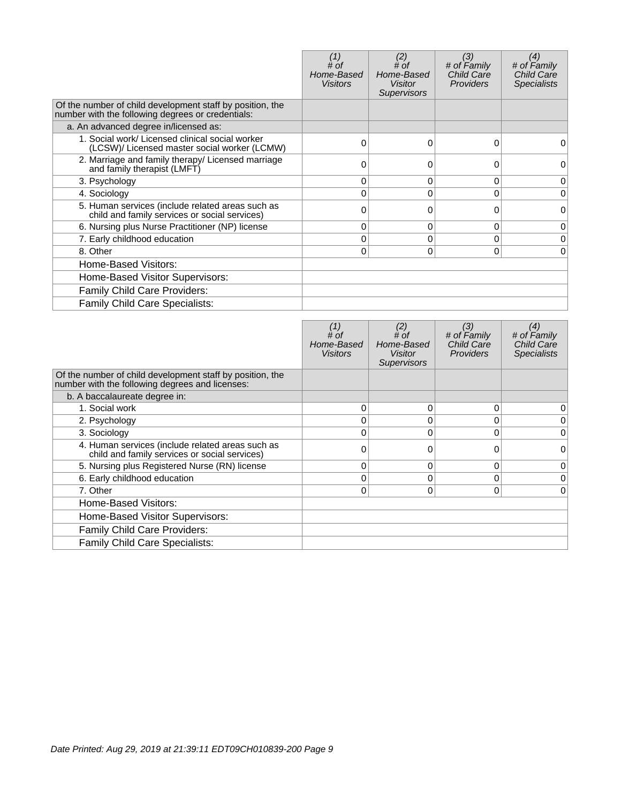|                                                                                                                | # of<br>Home-Based<br><b>Visitors</b> | (2)<br>$#$ of<br>Home-Based<br><b>Visitor</b><br><b>Supervisors</b> | (3)<br># of Family<br><b>Child Care</b><br><b>Providers</b> | (4)<br># of Family<br>Child Care<br><b>Specialists</b> |
|----------------------------------------------------------------------------------------------------------------|---------------------------------------|---------------------------------------------------------------------|-------------------------------------------------------------|--------------------------------------------------------|
| Of the number of child development staff by position, the<br>number with the following degrees or credentials: |                                       |                                                                     |                                                             |                                                        |
| a. An advanced degree in/licensed as:                                                                          |                                       |                                                                     |                                                             |                                                        |
| 1. Social work/ Licensed clinical social worker<br>(LCSW)/ Licensed master social worker (LCMW)                | 0                                     | $\Omega$                                                            | 0                                                           | 0                                                      |
| 2. Marriage and family therapy/ Licensed marriage<br>and family therapist (LMFT)                               |                                       |                                                                     | 0                                                           | 0                                                      |
| 3. Psychology                                                                                                  | 0                                     | 0                                                                   | 0                                                           | 0                                                      |
| 4. Sociology                                                                                                   |                                       | $\Omega$                                                            | $\Omega$                                                    | 0                                                      |
| 5. Human services (include related areas such as<br>child and family services or social services)              | 0                                     | 0                                                                   | $\Omega$                                                    | $\Omega$                                               |
| 6. Nursing plus Nurse Practitioner (NP) license                                                                | 0                                     | 0                                                                   | 0                                                           | 0                                                      |
| 7. Early childhood education                                                                                   | 0                                     | 0                                                                   | $\Omega$                                                    | 0                                                      |
| 8. Other                                                                                                       | 0                                     | $\Omega$                                                            | 0                                                           | 0                                                      |
| Home-Based Visitors:                                                                                           |                                       |                                                                     |                                                             |                                                        |
| Home-Based Visitor Supervisors:                                                                                |                                       |                                                                     |                                                             |                                                        |
| <b>Family Child Care Providers:</b>                                                                            |                                       |                                                                     |                                                             |                                                        |
| Family Child Care Specialists:                                                                                 |                                       |                                                                     |                                                             |                                                        |

|                                                                                                              | # of<br>Home-Based<br><b>Visitors</b> | (2)<br># of<br>Home-Based<br><b>Visitor</b><br><b>Supervisors</b> | (3)<br># of Family<br><b>Child Care</b><br><b>Providers</b> | (4)<br># of Family<br><b>Child Care</b><br><b>Specialists</b> |
|--------------------------------------------------------------------------------------------------------------|---------------------------------------|-------------------------------------------------------------------|-------------------------------------------------------------|---------------------------------------------------------------|
| Of the number of child development staff by position, the<br>number with the following degrees and licenses: |                                       |                                                                   |                                                             |                                                               |
| b. A baccalaureate degree in:                                                                                |                                       |                                                                   |                                                             |                                                               |
| 1. Social work                                                                                               | $\Omega$                              | 0                                                                 | 0                                                           | 0                                                             |
| 2. Psychology                                                                                                | 0                                     | 0                                                                 | 0                                                           | 0                                                             |
| 3. Sociology                                                                                                 | 0                                     | 0                                                                 | $\Omega$                                                    | 0                                                             |
| 4. Human services (include related areas such as<br>child and family services or social services)            | ∩                                     |                                                                   | 0                                                           | 0                                                             |
| 5. Nursing plus Registered Nurse (RN) license                                                                | $\Omega$                              | 0                                                                 | $\Omega$                                                    | 0                                                             |
| 6. Early childhood education                                                                                 | 0                                     | 0                                                                 | 0                                                           | 0                                                             |
| 7. Other                                                                                                     | 0                                     | 0                                                                 | $\Omega$                                                    | $\Omega$                                                      |
| Home-Based Visitors:                                                                                         |                                       |                                                                   |                                                             |                                                               |
| Home-Based Visitor Supervisors:                                                                              |                                       |                                                                   |                                                             |                                                               |
| Family Child Care Providers:                                                                                 |                                       |                                                                   |                                                             |                                                               |
| Family Child Care Specialists:                                                                               |                                       |                                                                   |                                                             |                                                               |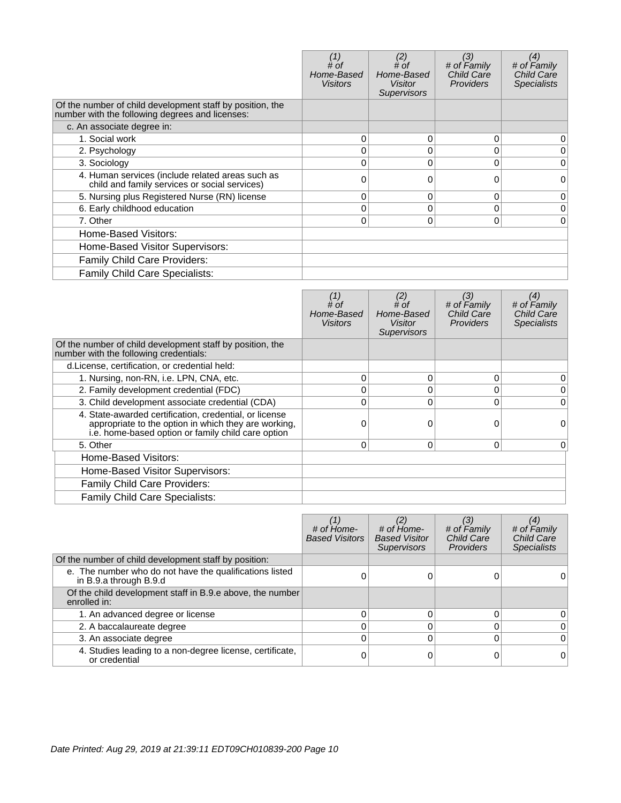|                                                                                                              | # of<br>Home-Based<br><b>Visitors</b> | (2)<br># of<br>Home-Based<br>Visitor<br><b>Supervisors</b> | (3)<br># of Family<br><b>Child Care</b><br><b>Providers</b> | (4)<br># of Family<br><b>Child Care</b><br><b>Specialists</b> |
|--------------------------------------------------------------------------------------------------------------|---------------------------------------|------------------------------------------------------------|-------------------------------------------------------------|---------------------------------------------------------------|
| Of the number of child development staff by position, the<br>number with the following degrees and licenses: |                                       |                                                            |                                                             |                                                               |
| c. An associate degree in:                                                                                   |                                       |                                                            |                                                             |                                                               |
| 1. Social work                                                                                               | 0                                     | 0                                                          | $\Omega$                                                    | 0                                                             |
| 2. Psychology                                                                                                |                                       | 0                                                          | 0                                                           | 0                                                             |
| 3. Sociology                                                                                                 | 0                                     | 0                                                          | $\Omega$                                                    | 0                                                             |
| 4. Human services (include related areas such as<br>child and family services or social services)            | ი                                     | O                                                          | 0                                                           | 0                                                             |
| 5. Nursing plus Registered Nurse (RN) license                                                                | 0                                     | 0                                                          | 0                                                           | 0                                                             |
| 6. Early childhood education                                                                                 | 0                                     | 0                                                          | $\mathbf 0$                                                 | 0                                                             |
| 7. Other                                                                                                     | 0                                     | 0                                                          | 0                                                           | $\Omega$                                                      |
| Home-Based Visitors:                                                                                         |                                       |                                                            |                                                             |                                                               |
| Home-Based Visitor Supervisors:                                                                              |                                       |                                                            |                                                             |                                                               |
| Family Child Care Providers:                                                                                 |                                       |                                                            |                                                             |                                                               |
| <b>Family Child Care Specialists:</b>                                                                        |                                       |                                                            |                                                             |                                                               |

|                                                                                                                                                                      | # of<br>Home-Based<br>Visitors | (2)<br># $of$<br>Home-Based<br>Visitor<br><b>Supervisors</b> | (3)<br># of Family<br><b>Child Care</b><br><b>Providers</b> | (4)<br># of Family<br><b>Child Care</b><br><b>Specialists</b> |
|----------------------------------------------------------------------------------------------------------------------------------------------------------------------|--------------------------------|--------------------------------------------------------------|-------------------------------------------------------------|---------------------------------------------------------------|
| Of the number of child development staff by position, the<br>number with the following credentials:                                                                  |                                |                                                              |                                                             |                                                               |
| d. License, certification, or credential held:                                                                                                                       |                                |                                                              |                                                             |                                                               |
| 1. Nursing, non-RN, i.e. LPN, CNA, etc.                                                                                                                              | 0                              | 0                                                            | 0                                                           | 0                                                             |
| 2. Family development credential (FDC)                                                                                                                               |                                | $\Omega$                                                     | 0                                                           | 0                                                             |
| 3. Child development associate credential (CDA)                                                                                                                      |                                | $\Omega$                                                     | 0                                                           | $\Omega$                                                      |
| 4. State-awarded certification, credential, or license<br>appropriate to the option in which they are working,<br>i.e. home-based option or family child care option |                                | $\Omega$                                                     | 0                                                           | 0                                                             |
| 5. Other                                                                                                                                                             | 0                              | 0                                                            | 0                                                           | $\overline{0}$                                                |
| Home-Based Visitors:                                                                                                                                                 |                                |                                                              |                                                             |                                                               |
| Home-Based Visitor Supervisors:                                                                                                                                      |                                |                                                              |                                                             |                                                               |
| <b>Family Child Care Providers:</b>                                                                                                                                  |                                |                                                              |                                                             |                                                               |
| Family Child Care Specialists:                                                                                                                                       |                                |                                                              |                                                             |                                                               |

|                                                                                   | # of Home-<br><b>Based Visitors</b> | (2)<br># of Home-<br><b>Based Visitor</b><br><b>Supervisors</b> | (3)<br># of Family<br><b>Child Care</b><br><b>Providers</b> | (4)<br># of Family<br>Child Care<br><b>Specialists</b> |
|-----------------------------------------------------------------------------------|-------------------------------------|-----------------------------------------------------------------|-------------------------------------------------------------|--------------------------------------------------------|
| Of the number of child development staff by position:                             |                                     |                                                                 |                                                             |                                                        |
| e. The number who do not have the qualifications listed<br>in B.9.a through B.9.d |                                     |                                                                 |                                                             |                                                        |
| Of the child development staff in B.9.e above, the number<br>enrolled in:         |                                     |                                                                 |                                                             |                                                        |
| 1. An advanced degree or license                                                  |                                     |                                                                 | O                                                           | 0                                                      |
| 2. A baccalaureate degree                                                         |                                     |                                                                 | 0                                                           | $\Omega$                                               |
| 3. An associate degree                                                            |                                     |                                                                 | 0                                                           | $\Omega$                                               |
| 4. Studies leading to a non-degree license, certificate,<br>or credential         |                                     |                                                                 |                                                             | $\Omega$                                               |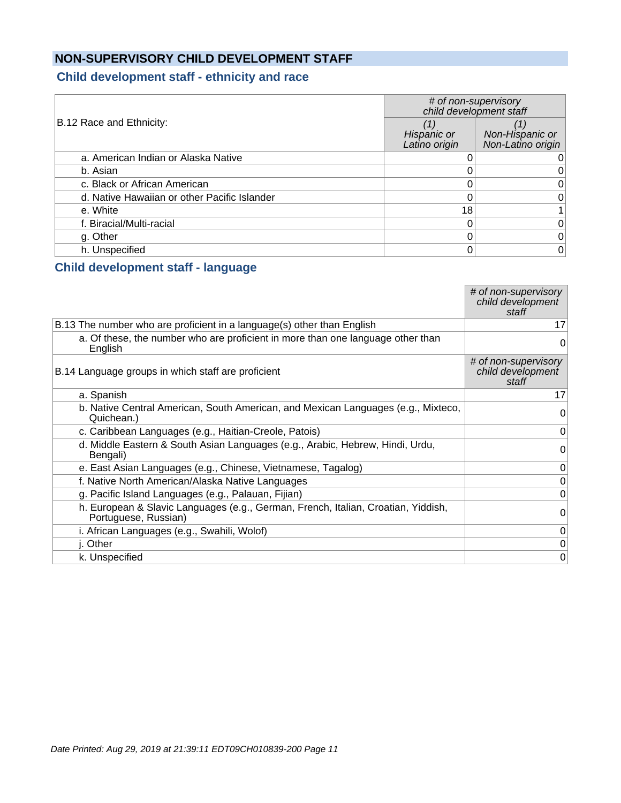## **NON-SUPERVISORY CHILD DEVELOPMENT STAFF**

#### **Child development staff - ethnicity and race**

|                                              | # of non-supervisory<br>child development staff |                                      |
|----------------------------------------------|-------------------------------------------------|--------------------------------------|
| B.12 Race and Ethnicity:                     | Hispanic or<br>Latino origin                    | Non-Hispanic or<br>Non-Latino origin |
| a. American Indian or Alaska Native          |                                                 |                                      |
| b. Asian                                     |                                                 |                                      |
| c. Black or African American                 |                                                 | 0                                    |
| d. Native Hawaiian or other Pacific Islander |                                                 | 0                                    |
| e. White                                     | 18                                              |                                      |
| f. Biracial/Multi-racial                     |                                                 | 0                                    |
| g. Other                                     |                                                 | $\Omega$                             |
| h. Unspecified                               |                                                 | 0                                    |

#### **Child development staff - language**

|                                                                                                           | # of non-supervisory<br>child development<br>staff |
|-----------------------------------------------------------------------------------------------------------|----------------------------------------------------|
| B.13 The number who are proficient in a language(s) other than English                                    | 17                                                 |
| a. Of these, the number who are proficient in more than one language other than<br>English                | 0                                                  |
| B.14 Language groups in which staff are proficient                                                        | # of non-supervisory<br>child development<br>staff |
| a. Spanish                                                                                                | 17                                                 |
| b. Native Central American, South American, and Mexican Languages (e.g., Mixteco,<br>Quichean.)           | 0                                                  |
| c. Caribbean Languages (e.g., Haitian-Creole, Patois)                                                     | 0                                                  |
| d. Middle Eastern & South Asian Languages (e.g., Arabic, Hebrew, Hindi, Urdu,<br>Bengali)                 | 0                                                  |
| e. East Asian Languages (e.g., Chinese, Vietnamese, Tagalog)                                              | 0                                                  |
| f. Native North American/Alaska Native Languages                                                          | 0                                                  |
| g. Pacific Island Languages (e.g., Palauan, Fijian)                                                       | 0                                                  |
| h. European & Slavic Languages (e.g., German, French, Italian, Croatian, Yiddish,<br>Portuguese, Russian) | 0                                                  |
| i. African Languages (e.g., Swahili, Wolof)                                                               | 0                                                  |
| j. Other                                                                                                  | 0                                                  |
| k. Unspecified                                                                                            | 0                                                  |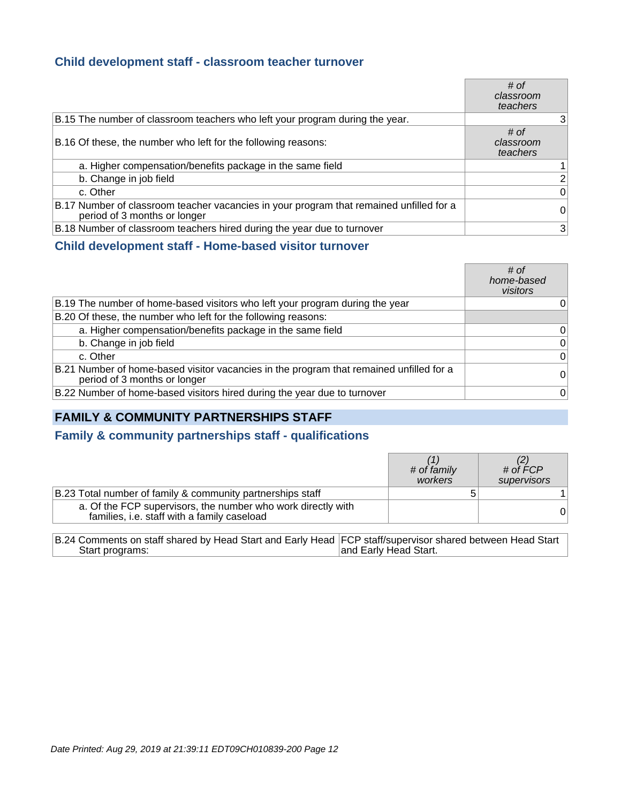#### **Child development staff - classroom teacher turnover**

|                                                                                                                         | # of<br>classroom<br>teachers |
|-------------------------------------------------------------------------------------------------------------------------|-------------------------------|
| B.15 The number of classroom teachers who left your program during the year.                                            | 3                             |
| B.16 Of these, the number who left for the following reasons:                                                           | # of<br>classroom<br>teachers |
| a. Higher compensation/benefits package in the same field                                                               |                               |
| b. Change in job field                                                                                                  | 2                             |
| c. Other                                                                                                                | 0                             |
| B.17 Number of classroom teacher vacancies in your program that remained unfilled for a<br>period of 3 months or longer | 0                             |
| B.18 Number of classroom teachers hired during the year due to turnover                                                 | 3                             |

#### **Child development staff - Home-based visitor turnover**

|                                                                                                                         | # of<br>home-based<br>visitors |
|-------------------------------------------------------------------------------------------------------------------------|--------------------------------|
| B.19 The number of home-based visitors who left your program during the year                                            | 0                              |
| B.20 Of these, the number who left for the following reasons:                                                           |                                |
| a. Higher compensation/benefits package in the same field                                                               | 0                              |
| b. Change in job field                                                                                                  | 0                              |
| c. Other                                                                                                                | 0                              |
| B.21 Number of home-based visitor vacancies in the program that remained unfilled for a<br>period of 3 months or longer | $\overline{0}$                 |
| B.22 Number of home-based visitors hired during the year due to turnover                                                | $\overline{0}$                 |

## **FAMILY & COMMUNITY PARTNERSHIPS STAFF**

#### **Family & community partnerships staff - qualifications**

|                                                                                                             | # of family<br>workers | # of $\acute{F}CP$<br>supervisors |
|-------------------------------------------------------------------------------------------------------------|------------------------|-----------------------------------|
| B.23 Total number of family & community partnerships staff                                                  |                        |                                   |
| a. Of the FCP supervisors, the number who work directly with<br>families, i.e. staff with a family caseload |                        |                                   |

| B.24 Comments on staff shared by Head Start and Early Head FCP staff/supervisor shared between Head Start |                       |
|-----------------------------------------------------------------------------------------------------------|-----------------------|
| Start programs:                                                                                           | and Early Head Start. |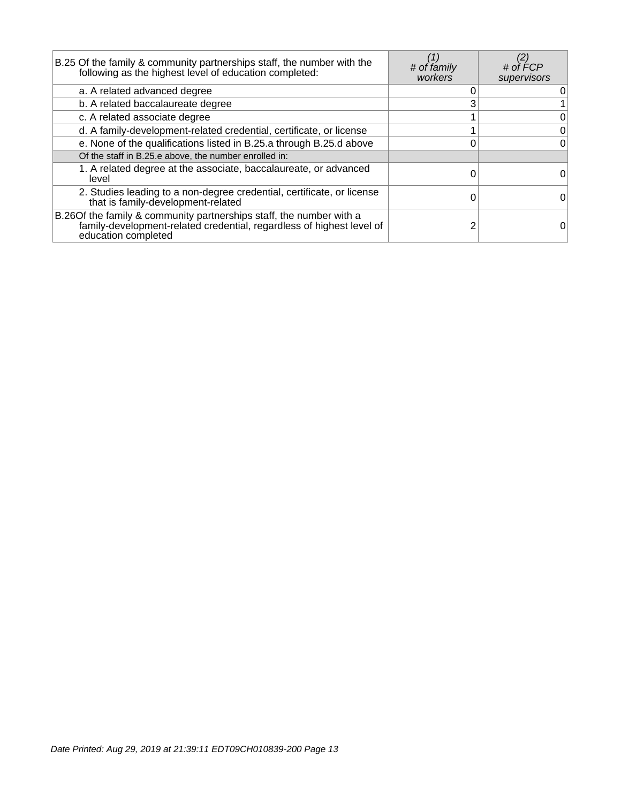| B.25 Of the family & community partnerships staff, the number with the<br>following as the highest level of education completed:                                     | # of family<br>workers | # of $FCP$<br>supervisors |
|----------------------------------------------------------------------------------------------------------------------------------------------------------------------|------------------------|---------------------------|
| a. A related advanced degree                                                                                                                                         |                        | 0                         |
| b. A related baccalaureate degree                                                                                                                                    |                        |                           |
| c. A related associate degree                                                                                                                                        |                        | 0                         |
| d. A family-development-related credential, certificate, or license                                                                                                  |                        | $\overline{0}$            |
| e. None of the qualifications listed in B.25.a through B.25.d above                                                                                                  |                        | $\overline{0}$            |
| Of the staff in B.25.e above, the number enrolled in:                                                                                                                |                        |                           |
| 1. A related degree at the associate, baccalaureate, or advanced<br>level                                                                                            |                        | 0                         |
| 2. Studies leading to a non-degree credential, certificate, or license<br>that is family-development-related                                                         |                        | 0                         |
| B.26 Of the family & community partnerships staff, the number with a<br>family-development-related credential, regardless of highest level of<br>education completed |                        |                           |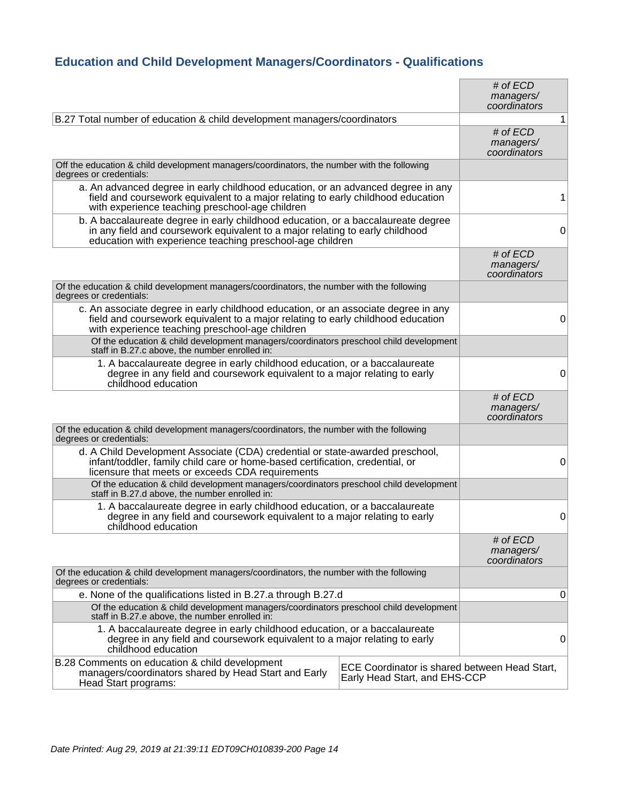## **Education and Child Development Managers/Coordinators - Qualifications**

|                                                                                                                                                                                                                                 |                                                                                | # of $ECD$<br>managers/<br>coordinators   |              |
|---------------------------------------------------------------------------------------------------------------------------------------------------------------------------------------------------------------------------------|--------------------------------------------------------------------------------|-------------------------------------------|--------------|
| B.27 Total number of education & child development managers/coordinators                                                                                                                                                        |                                                                                |                                           | $\mathbf{1}$ |
|                                                                                                                                                                                                                                 |                                                                                | $#$ of $ECD$<br>managers/<br>coordinators |              |
| Off the education & child development managers/coordinators, the number with the following<br>degrees or credentials:                                                                                                           |                                                                                |                                           |              |
| a. An advanced degree in early childhood education, or an advanced degree in any<br>field and coursework equivalent to a major relating to early childhood education<br>with experience teaching preschool-age children         |                                                                                |                                           | 1            |
| b. A baccalaureate degree in early childhood education, or a baccalaureate degree<br>in any field and coursework equivalent to a major relating to early childhood<br>education with experience teaching preschool-age children |                                                                                |                                           | 0            |
|                                                                                                                                                                                                                                 |                                                                                | # of $ECD$<br>managers/<br>coordinators   |              |
| Of the education & child development managers/coordinators, the number with the following<br>degrees or credentials:                                                                                                            |                                                                                |                                           |              |
| c. An associate degree in early childhood education, or an associate degree in any<br>field and coursework equivalent to a major relating to early childhood education<br>with experience teaching preschool-age children       |                                                                                |                                           | 0            |
| Of the education & child development managers/coordinators preschool child development<br>staff in B.27.c above, the number enrolled in:                                                                                        |                                                                                |                                           |              |
| 1. A baccalaureate degree in early childhood education, or a baccalaureate<br>degree in any field and coursework equivalent to a major relating to early<br>childhood education                                                 |                                                                                |                                           | 0            |
|                                                                                                                                                                                                                                 |                                                                                | # of $ECD$<br>managers/<br>coordinators   |              |
| Of the education & child development managers/coordinators, the number with the following<br>degrees or credentials:                                                                                                            |                                                                                |                                           |              |
| d. A Child Development Associate (CDA) credential or state-awarded preschool,<br>infant/toddler, family child care or home-based certification, credential, or<br>licensure that meets or exceeds CDA requirements              |                                                                                |                                           | 0            |
| Of the education & child development managers/coordinators preschool child development<br>staff in B.27.d above, the number enrolled in:                                                                                        |                                                                                |                                           |              |
| 1. A baccalaureate degree in early childhood education, or a baccalaureate<br>degree in any field and coursework equivalent to a major relating to early<br>childhood education                                                 |                                                                                |                                           | 0            |
|                                                                                                                                                                                                                                 |                                                                                | # of ECD<br>managers/<br>coordinators     |              |
| Of the education & child development managers/coordinators, the number with the following<br>degrees or credentials:                                                                                                            |                                                                                |                                           |              |
| e. None of the qualifications listed in B.27.a through B.27.d                                                                                                                                                                   |                                                                                |                                           | 0            |
| Of the education & child development managers/coordinators preschool child development<br>staff in B.27.e above, the number enrolled in:                                                                                        |                                                                                |                                           |              |
| 1. A baccalaureate degree in early childhood education, or a baccalaureate<br>degree in any field and coursework equivalent to a major relating to early<br>childhood education                                                 |                                                                                |                                           | 0            |
| B.28 Comments on education & child development<br>managers/coordinators shared by Head Start and Early<br>Head Start programs:                                                                                                  | ECE Coordinator is shared between Head Start,<br>Early Head Start, and EHS-CCP |                                           |              |
|                                                                                                                                                                                                                                 |                                                                                |                                           |              |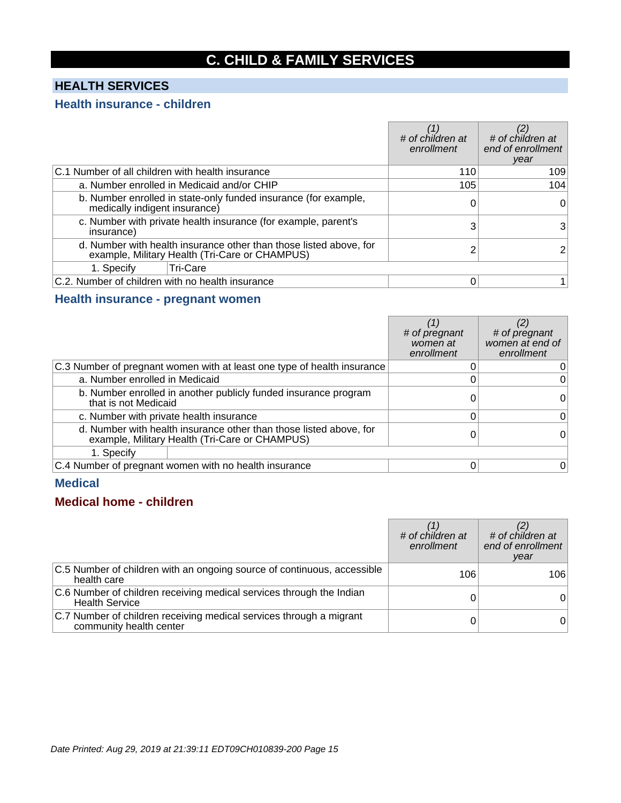## **C. CHILD & FAMILY SERVICES**

## **HEALTH SERVICES**

#### **Health insurance - children**

|                                                  |                                                                                                                      | # of children at<br>enrollment | # of children at<br>end of enrollment<br>year |
|--------------------------------------------------|----------------------------------------------------------------------------------------------------------------------|--------------------------------|-----------------------------------------------|
| C.1 Number of all children with health insurance |                                                                                                                      | 110                            | 109                                           |
|                                                  | a. Number enrolled in Medicaid and/or CHIP                                                                           | 105                            | 104                                           |
| medically indigent insurance)                    | b. Number enrolled in state-only funded insurance (for example,                                                      |                                | 0                                             |
| insurance)                                       | c. Number with private health insurance (for example, parent's                                                       |                                | 3                                             |
|                                                  | d. Number with health insurance other than those listed above, for<br>example, Military Health (Tri-Care or CHAMPUS) |                                |                                               |
| 1. Specify                                       | <b>Tri-Care</b>                                                                                                      |                                |                                               |
| C.2. Number of children with no health insurance |                                                                                                                      |                                |                                               |

#### **Health insurance - pregnant women**

|                                |                                                                                                                      | # of pregnant<br>women at<br>enrollment | # of pregnant<br>women at end of<br>enrollment |
|--------------------------------|----------------------------------------------------------------------------------------------------------------------|-----------------------------------------|------------------------------------------------|
|                                | C.3 Number of pregnant women with at least one type of health insurance                                              |                                         |                                                |
| a. Number enrolled in Medicaid |                                                                                                                      |                                         | 0                                              |
| that is not Medicaid           | b. Number enrolled in another publicly funded insurance program                                                      |                                         | 0                                              |
|                                | c. Number with private health insurance                                                                              |                                         | 0                                              |
|                                | d. Number with health insurance other than those listed above, for<br>example, Military Health (Tri-Care or CHAMPUS) |                                         |                                                |
| 1. Specify                     |                                                                                                                      |                                         |                                                |
|                                | C.4 Number of pregnant women with no health insurance                                                                |                                         | O                                              |

#### **Medical**

#### **Medical home - children**

|                                                                                                | # of children at<br>enrollment | # of children at<br>end of enrollment<br>year |
|------------------------------------------------------------------------------------------------|--------------------------------|-----------------------------------------------|
| C.5 Number of children with an ongoing source of continuous, accessible<br>health care         | 106                            | 106                                           |
| C.6 Number of children receiving medical services through the Indian<br><b>Health Service</b>  |                                |                                               |
| C.7 Number of children receiving medical services through a migrant<br>community health center |                                |                                               |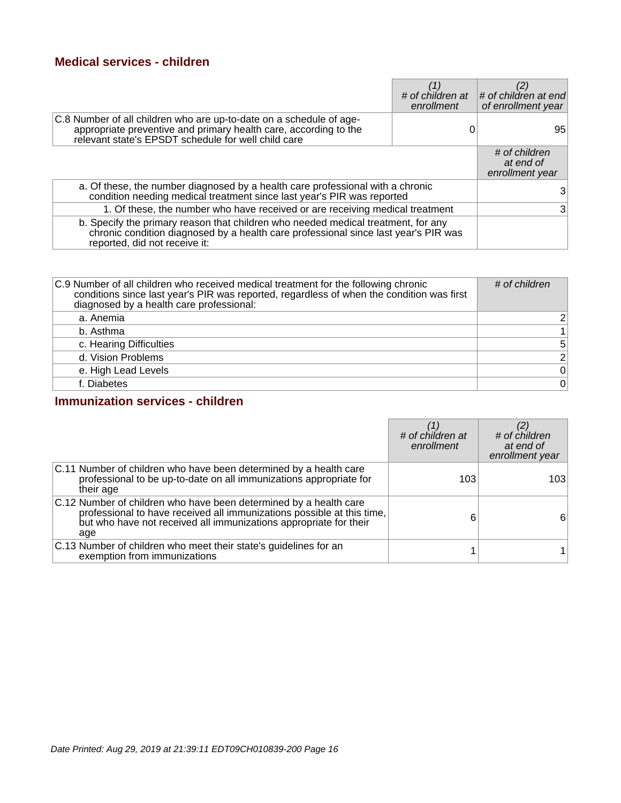#### **Medical services - children**

|                                                                                                                                                                                                           | # of children at<br>enrollment | # of children at end<br>of enrollment year    |
|-----------------------------------------------------------------------------------------------------------------------------------------------------------------------------------------------------------|--------------------------------|-----------------------------------------------|
| C.8 Number of all children who are up-to-date on a schedule of age-<br>appropriate preventive and primary health care, according to the<br>relevant state's EPSDT schedule for well child care            |                                | 95                                            |
|                                                                                                                                                                                                           |                                | # of children<br>at end of<br>enrollment year |
| a. Of these, the number diagnosed by a health care professional with a chronic condition needing medical treatment since last year's PIR was reported                                                     |                                |                                               |
| 1. Of these, the number who have received or are receiving medical treatment                                                                                                                              |                                |                                               |
| b. Specify the primary reason that children who needed medical treatment, for any<br>chronic condition diagnosed by a health care professional since last year's PIR was<br>reported, did not receive it: |                                |                                               |

| C.9 Number of all children who received medical treatment for the following chronic<br>conditions since last year's PIR was reported, regardless of when the condition was first<br>diagnosed by a health care professional: | # of children   |
|------------------------------------------------------------------------------------------------------------------------------------------------------------------------------------------------------------------------------|-----------------|
| a. Anemia                                                                                                                                                                                                                    | $\overline{2}$  |
| b. Asthma                                                                                                                                                                                                                    | $\mathbf{1}$    |
| c. Hearing Difficulties                                                                                                                                                                                                      | $5\overline{)}$ |
| d. Vision Problems                                                                                                                                                                                                           | $\overline{2}$  |
| e. High Lead Levels                                                                                                                                                                                                          | $\pmb{0}$       |
| f. Diabetes                                                                                                                                                                                                                  | $\mathbf 0$     |

#### **Immunization services - children**

|                                                                                                                                                                                                                         | # of children at<br>enrollment | # of children<br>at end of<br>enrollment year |
|-------------------------------------------------------------------------------------------------------------------------------------------------------------------------------------------------------------------------|--------------------------------|-----------------------------------------------|
| C.11 Number of children who have been determined by a health care<br>professional to be up-to-date on all immunizations appropriate for<br>their age                                                                    | 103                            | 103                                           |
| C.12 Number of children who have been determined by a health care<br>professional to have received all immunizations possible at this time,<br>but who have not received all immunizations appropriate for their<br>age | 6                              | 6                                             |
| C.13 Number of children who meet their state's guidelines for an<br>exemption from immunizations                                                                                                                        |                                |                                               |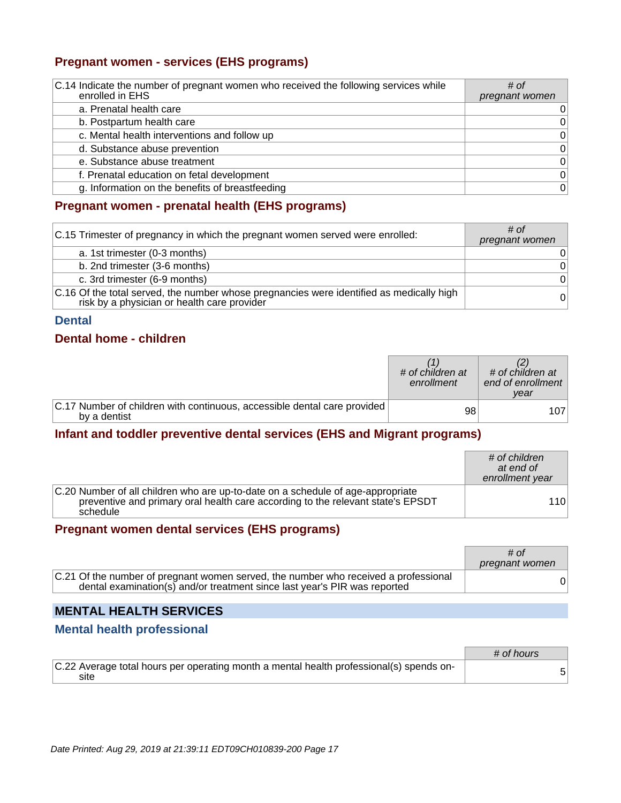#### **Pregnant women - services (EHS programs)**

| C.14 Indicate the number of pregnant women who received the following services while<br>enrolled in EHS | # of<br>pregnant women |
|---------------------------------------------------------------------------------------------------------|------------------------|
| a. Prenatal health care                                                                                 | 0                      |
| b. Postpartum health care                                                                               | 0                      |
| c. Mental health interventions and follow up                                                            | $\Omega$               |
| d. Substance abuse prevention                                                                           | 0                      |
| e. Substance abuse treatment                                                                            | 0                      |
| f. Prenatal education on fetal development                                                              | $\Omega$               |
| g. Information on the benefits of breastfeeding                                                         | $\Omega$               |

#### **Pregnant women - prenatal health (EHS programs)**

| C.15 Trimester of pregnancy in which the pregnant women served were enrolled:                                                           | # of<br>pregnant women |
|-----------------------------------------------------------------------------------------------------------------------------------------|------------------------|
| a. 1st trimester (0-3 months)                                                                                                           | 0                      |
| b. 2nd trimester (3-6 months)                                                                                                           | $\overline{0}$         |
| c. 3rd trimester (6-9 months)                                                                                                           | $\overline{0}$         |
| C.16 Of the total served, the number whose pregnancies were identified as medically high<br>risk by a physician or health care provider | 0                      |

#### **Dental**

#### **Dental home - children**

|                                                                                          | # of children at<br>enrollment | # of children at<br>end of enrollment<br>vear |
|------------------------------------------------------------------------------------------|--------------------------------|-----------------------------------------------|
| C.17 Number of children with continuous, accessible dental care provided<br>by a dentist | 98                             | 107.                                          |

#### **Infant and toddler preventive dental services (EHS and Migrant programs)**

|                                                                                                                                                                                | # of children<br>at end of<br>enrollment year |
|--------------------------------------------------------------------------------------------------------------------------------------------------------------------------------|-----------------------------------------------|
| C.20 Number of all children who are up-to-date on a schedule of age-appropriate<br>preventive and primary oral health care according to the relevant state's EPSDT<br>schedule | 110                                           |

#### **Pregnant women dental services (EHS programs)**

|                                                                                                                                                                  | # of<br>pregnant women |
|------------------------------------------------------------------------------------------------------------------------------------------------------------------|------------------------|
| C.21 Of the number of pregnant women served, the number who received a professional<br>dental examination(s) and/or treatment since last year's PIR was reported |                        |

## **MENTAL HEALTH SERVICES**

#### **Mental health professional**

|                                                                                                 | # of hours |
|-------------------------------------------------------------------------------------------------|------------|
| C.22 Average total hours per operating month a mental health professional(s) spends on-<br>site |            |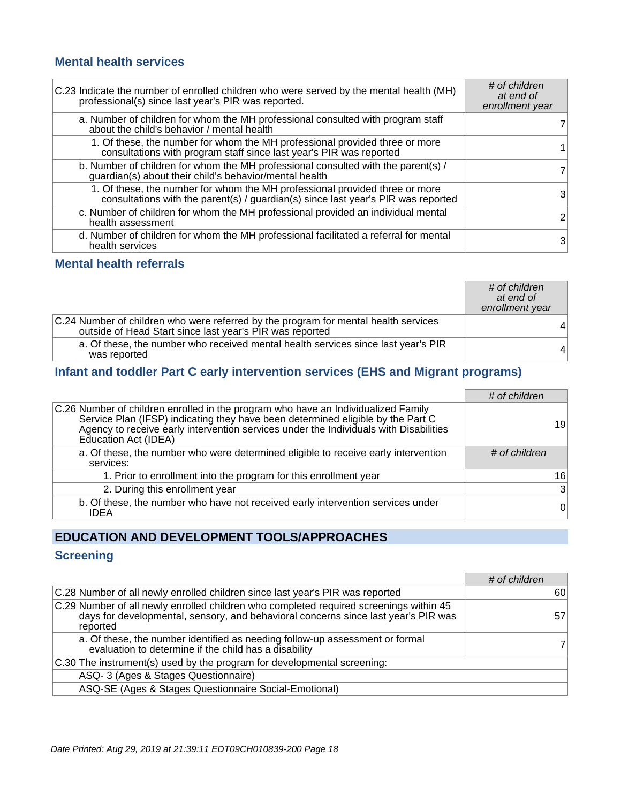#### **Mental health services**

| C.23 Indicate the number of enrolled children who were served by the mental health (MH)<br>professional(s) since last year's PIR was reported.                | # of children<br>at end of<br>enrollment year |
|---------------------------------------------------------------------------------------------------------------------------------------------------------------|-----------------------------------------------|
| a. Number of children for whom the MH professional consulted with program staff<br>about the child's behavior / mental health                                 |                                               |
| 1. Of these, the number for whom the MH professional provided three or more<br>consultations with program staff since last year's PIR was reported            |                                               |
| b. Number of children for whom the MH professional consulted with the parent(s) /<br>guardian(s) about their child's behavior/mental health                   | 7                                             |
| 1. Of these, the number for whom the MH professional provided three or more consultations with the parent(s) / guardian(s) since last year's PIR was reported | 3                                             |
| c. Number of children for whom the MH professional provided an individual mental<br>health assessment                                                         | $\overline{2}$                                |
| d. Number of children for whom the MH professional facilitated a referral for mental<br>health services                                                       | 3                                             |

#### **Mental health referrals**

|                                                                                                                                                 | # of children<br>at end of<br>enrollment year |
|-------------------------------------------------------------------------------------------------------------------------------------------------|-----------------------------------------------|
| C.24 Number of children who were referred by the program for mental health services<br>outside of Head Start since last year's PIR was reported | $\vert 4 \vert$                               |
| a. Of these, the number who received mental health services since last year's PIR<br>was reported                                               | 4 <sup>1</sup>                                |

### **Infant and toddler Part C early intervention services (EHS and Migrant programs)**

|                                                                                                                                                                                                                                                                                       | # of children  |
|---------------------------------------------------------------------------------------------------------------------------------------------------------------------------------------------------------------------------------------------------------------------------------------|----------------|
| C.26 Number of children enrolled in the program who have an Individualized Family<br>Service Plan (IFSP) indicating they have been determined eligible by the Part C<br>Agency to receive early intervention services under the Individuals with Disabilities<br>Education Act (IDEA) | 19             |
| a. Of these, the number who were determined eligible to receive early intervention<br>services:                                                                                                                                                                                       | # of children  |
| 1. Prior to enrollment into the program for this enrollment year                                                                                                                                                                                                                      | 16             |
| 2. During this enrollment year                                                                                                                                                                                                                                                        | $\overline{3}$ |
| b. Of these, the number who have not received early intervention services under<br><b>IDEA</b>                                                                                                                                                                                        | $\overline{0}$ |

## **EDUCATION AND DEVELOPMENT TOOLS/APPROACHES**

#### **Screening**

|                                                                                                                                                                                          | # of children |
|------------------------------------------------------------------------------------------------------------------------------------------------------------------------------------------|---------------|
| C.28 Number of all newly enrolled children since last year's PIR was reported                                                                                                            | 60            |
| C.29 Number of all newly enrolled children who completed required screenings within 45<br>days for developmental, sensory, and behavioral concerns since last year's PIR was<br>reported | 57            |
| a. Of these, the number identified as needing follow-up assessment or formal<br>evaluation to determine if the child has a disability                                                    |               |
| C.30 The instrument(s) used by the program for developmental screening:                                                                                                                  |               |
| ASQ-3 (Ages & Stages Questionnaire)                                                                                                                                                      |               |
| ASQ-SE (Ages & Stages Questionnaire Social-Emotional)                                                                                                                                    |               |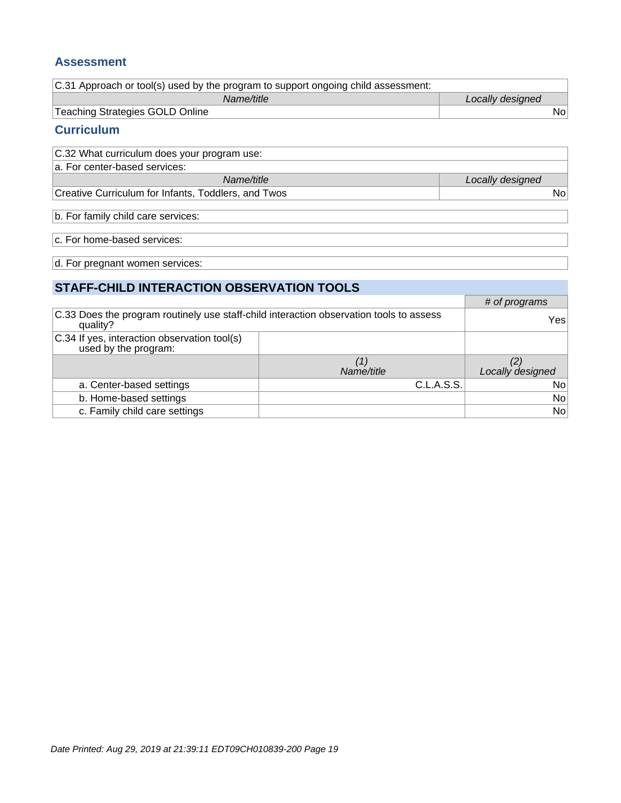#### **Assessment**

| C.31 Approach or tool(s) used by the program to support ongoing child assessment: |                  |
|-----------------------------------------------------------------------------------|------------------|
| Name/title                                                                        | Locally designed |
| Teaching Strategies GOLD Online                                                   | Nol              |

#### **Curriculum**

| C.32 What curriculum does your program use:         |                  |
|-----------------------------------------------------|------------------|
| a. For center-based services:                       |                  |
| Name/title                                          | Locally designed |
| Creative Curriculum for Infants, Toddlers, and Twos | Nol              |

b. For family child care services:

c. For home-based services:

d. For pregnant women services:

## **STAFF-CHILD INTERACTION OBSERVATION TOOLS**

|                                                                                                     |            | # of programs    |
|-----------------------------------------------------------------------------------------------------|------------|------------------|
| C.33 Does the program routinely use staff-child interaction observation tools to assess<br>quality? |            | Yes              |
| C.34 If yes, interaction observation tool(s)<br>used by the program:                                |            |                  |
|                                                                                                     |            |                  |
|                                                                                                     | Name/title | Locally designed |
| a. Center-based settings                                                                            | C.L.A.S.S. | No               |
| b. Home-based settings                                                                              |            | No               |
| c. Family child care settings                                                                       |            | No               |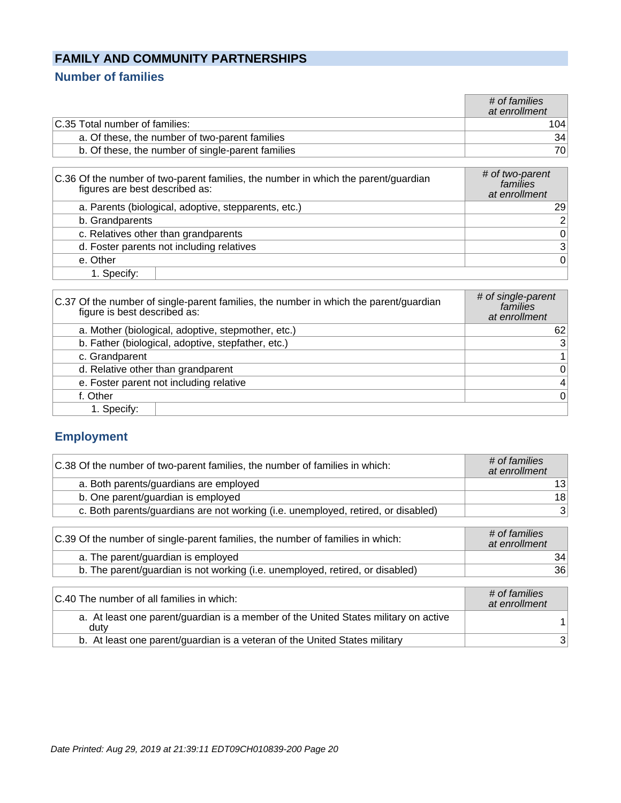## **FAMILY AND COMMUNITY PARTNERSHIPS**

### **Number of families**

|                                                   | # of families<br>at enrollment |
|---------------------------------------------------|--------------------------------|
| C.35 Total number of families:                    | 104                            |
| a. Of these, the number of two-parent families    | 34                             |
| b. Of these, the number of single-parent families | 701                            |
|                                                   |                                |

| C.36 Of the number of two-parent families, the number in which the parent/guardian<br>figures are best described as: | # of two-parent<br>families<br>at enrollment |
|----------------------------------------------------------------------------------------------------------------------|----------------------------------------------|
| a. Parents (biological, adoptive, stepparents, etc.)                                                                 | 29 <sub>1</sub>                              |
| b. Grandparents                                                                                                      | 2 <sup>1</sup>                               |
| c. Relatives other than grandparents                                                                                 | 0                                            |
| d. Foster parents not including relatives                                                                            | 3 <sup>2</sup>                               |
| e. Other                                                                                                             | $\Omega$                                     |
| 1. Specify:                                                                                                          |                                              |

| C.37 Of the number of single-parent families, the number in which the parent/guardian<br>figure is best described as: | # of single-parent<br>families<br>at enrollment |
|-----------------------------------------------------------------------------------------------------------------------|-------------------------------------------------|
| a. Mother (biological, adoptive, stepmother, etc.)                                                                    | 62                                              |
| b. Father (biological, adoptive, stepfather, etc.)                                                                    | 3                                               |
| c. Grandparent                                                                                                        | $\mathbf 1$                                     |
| d. Relative other than grandparent                                                                                    | $\mathbf 0$                                     |
| e. Foster parent not including relative                                                                               | 4                                               |
| f. Other                                                                                                              | $\Omega$                                        |
| 1. Specify:                                                                                                           |                                                 |

## **Employment**

| C.38 Of the number of two-parent families, the number of families in which:       | # of families<br>at enrollment |
|-----------------------------------------------------------------------------------|--------------------------------|
| a. Both parents/guardians are employed                                            | 13                             |
| b. One parent/guardian is employed                                                | 18                             |
| c. Both parents/guardians are not working (i.e. unemployed, retired, or disabled) | 3                              |
| C.39 Of the number of single-parent families, the number of families in which:    | # of families<br>at enrollment |
| a. The parent/guardian is employed                                                | 34                             |
| b. The parent/guardian is not working (i.e. unemployed, retired, or disabled)     | 36                             |
| $\bigcap$ 40 The number of all families in which $\bigcap$                        | # of families                  |

| C.40 The number of all families in which:                                                   | # of families<br>at enrollment |
|---------------------------------------------------------------------------------------------|--------------------------------|
| a. At least one parent/guardian is a member of the United States military on active<br>duty |                                |
| b. At least one parent/guardian is a veteran of the United States military                  |                                |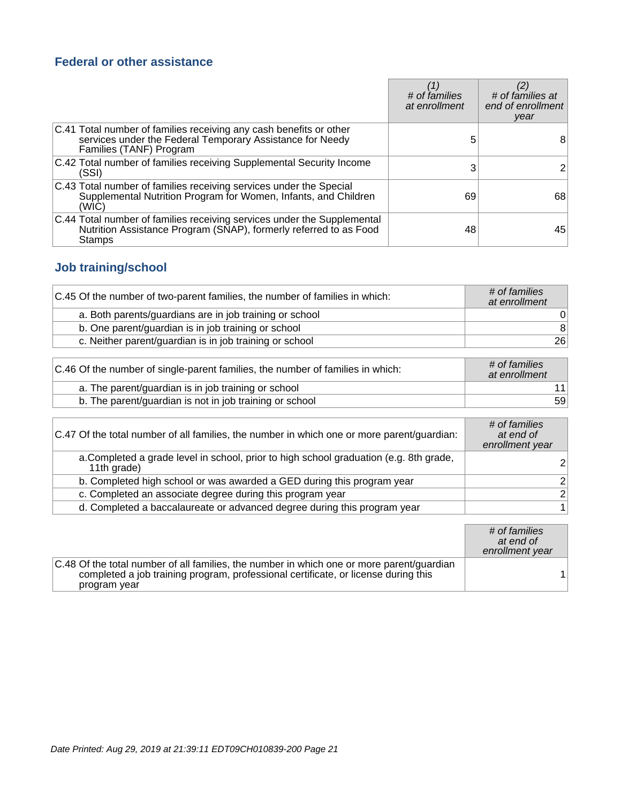### **Federal or other assistance**

|                                                                                                                                                            | # of families<br>at enrollment | # of families at<br>end of enrollment<br>year |
|------------------------------------------------------------------------------------------------------------------------------------------------------------|--------------------------------|-----------------------------------------------|
| C.41 Total number of families receiving any cash benefits or other<br>services under the Federal Temporary Assistance for Needy<br>Families (TANF) Program | 5                              | 8                                             |
| C.42 Total number of families receiving Supplemental Security Income<br>(SSI)                                                                              |                                |                                               |
| C.43 Total number of families receiving services under the Special<br>Supplemental Nutrition Program for Women, Infants, and Children<br>(WIC)             | 69                             | 68                                            |
| C.44 Total number of families receiving services under the Supplemental<br>Nutrition Assistance Program (SNAP), formerly referred to as Food<br>Stamps     | 48                             | 45                                            |

## **Job training/school**

| C.45 Of the number of two-parent families, the number of families in which: | # of families<br>at enrollment |
|-----------------------------------------------------------------------------|--------------------------------|
| a. Both parents/guardians are in job training or school                     |                                |
| b. One parent/guardian is in job training or school                         | 8                              |
| c. Neither parent/guardian is in job training or school                     | 26                             |

| C.46 Of the number of single-parent families, the number of families in which: | # of families<br>at enrollment |
|--------------------------------------------------------------------------------|--------------------------------|
| a. The parent/guardian is in job training or school                            |                                |
| b. The parent/guardian is not in job training or school                        | 59                             |

| C.47 Of the total number of all families, the number in which one or more parent/guardian:            | # of families<br>at end of<br>enrollment year |
|-------------------------------------------------------------------------------------------------------|-----------------------------------------------|
| a. Completed a grade level in school, prior to high school graduation (e.g. 8th grade,<br>11th grade) | ົ                                             |
| b. Completed high school or was awarded a GED during this program year                                | 2                                             |
| c. Completed an associate degree during this program year                                             | 2                                             |
| d. Completed a baccalaureate or advanced degree during this program year                              |                                               |

|                                                                                                                                                                                                 | # of families<br>at end of<br>enrollment year |
|-------------------------------------------------------------------------------------------------------------------------------------------------------------------------------------------------|-----------------------------------------------|
| C.48 Of the total number of all families, the number in which one or more parent/guardian<br>completed a job training program, professional certificate, or license during this<br>program year |                                               |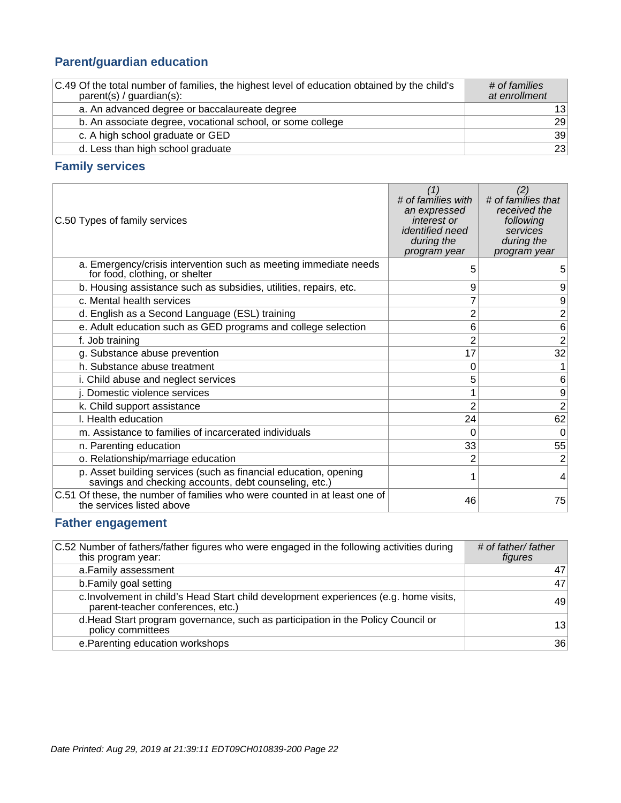## **Parent/guardian education**

| C.49 Of the total number of families, the highest level of education obtained by the child's<br>$parent(s) / quartian(s)$ : | # of families<br>at enrollment |
|-----------------------------------------------------------------------------------------------------------------------------|--------------------------------|
| a. An advanced degree or baccalaureate degree                                                                               | 13                             |
| b. An associate degree, vocational school, or some college                                                                  | 29                             |
| c. A high school graduate or GED                                                                                            | 39                             |
| d. Less than high school graduate                                                                                           | 23                             |

### **Family services**

| C.50 Types of family services                                                                                             | (1)<br># of families with<br>an expressed<br>interest or<br><i>identified need</i><br>during the<br>program year | (2)<br># of families that<br>received the<br>following<br>services<br>during the<br>program year |
|---------------------------------------------------------------------------------------------------------------------------|------------------------------------------------------------------------------------------------------------------|--------------------------------------------------------------------------------------------------|
| a. Emergency/crisis intervention such as meeting immediate needs<br>for food, clothing, or shelter                        | 5                                                                                                                | 5                                                                                                |
| b. Housing assistance such as subsidies, utilities, repairs, etc.                                                         | 9                                                                                                                | 9                                                                                                |
| c. Mental health services                                                                                                 |                                                                                                                  | $\mathsf g$                                                                                      |
| d. English as a Second Language (ESL) training                                                                            | 2                                                                                                                | $\overline{2}$                                                                                   |
| e. Adult education such as GED programs and college selection                                                             | 6                                                                                                                | $6 \,$                                                                                           |
| f. Job training                                                                                                           | 2                                                                                                                | $\overline{2}$                                                                                   |
| g. Substance abuse prevention                                                                                             | 17                                                                                                               | 32                                                                                               |
| h. Substance abuse treatment                                                                                              | 0                                                                                                                | $\mathbf{1}$                                                                                     |
| i. Child abuse and neglect services                                                                                       | 5                                                                                                                | 6                                                                                                |
| j. Domestic violence services                                                                                             |                                                                                                                  | $\mathsf g$                                                                                      |
| k. Child support assistance                                                                                               | $\overline{2}$                                                                                                   | $\overline{2}$                                                                                   |
| I. Health education                                                                                                       | 24                                                                                                               | 62                                                                                               |
| m. Assistance to families of incarcerated individuals                                                                     | 0                                                                                                                | $\overline{0}$                                                                                   |
| n. Parenting education                                                                                                    | 33                                                                                                               | 55                                                                                               |
| o. Relationship/marriage education                                                                                        | 2                                                                                                                | $\overline{2}$                                                                                   |
| p. Asset building services (such as financial education, opening<br>savings and checking accounts, debt counseling, etc.) |                                                                                                                  | 4                                                                                                |
| C.51 Of these, the number of families who were counted in at least one of<br>the services listed above                    | 46                                                                                                               | 75                                                                                               |

### **Father engagement**

| C.52 Number of fathers/father figures who were engaged in the following activities during<br>this program year:            | # of father/ father<br>figures |
|----------------------------------------------------------------------------------------------------------------------------|--------------------------------|
| a. Family assessment                                                                                                       | 47                             |
| b. Family goal setting                                                                                                     | 47                             |
| c. Involvement in child's Head Start child development experiences (e.g. home visits,<br>parent-teacher conferences, etc.) | 49                             |
| d. Head Start program governance, such as participation in the Policy Council or<br>policy committees                      | 13                             |
| e. Parenting education workshops                                                                                           | 36                             |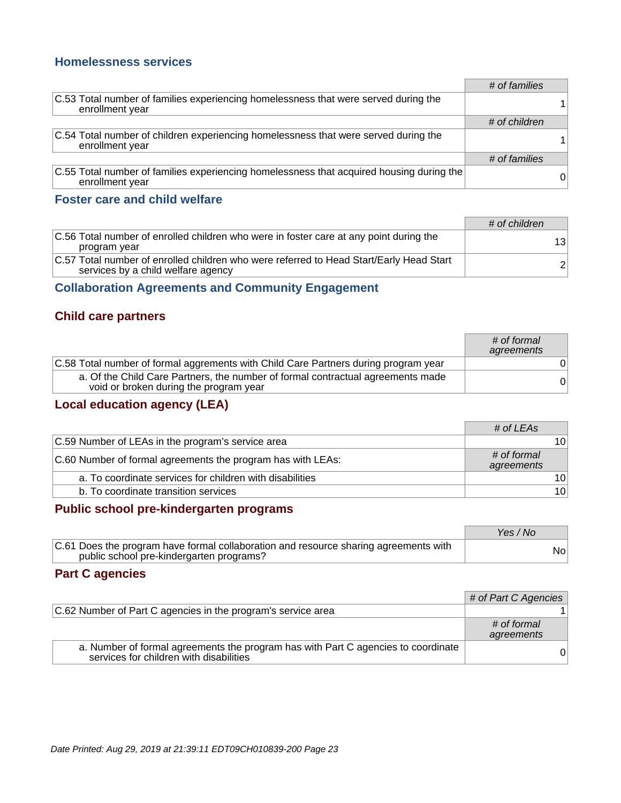#### **Homelessness services**

|                                                                                                             | # of families |   |
|-------------------------------------------------------------------------------------------------------------|---------------|---|
| C.53 Total number of families experiencing homelessness that were served during the<br>enrollment year      |               |   |
|                                                                                                             | # of children |   |
| C.54 Total number of children experiencing homelessness that were served during the<br>enrollment year      |               |   |
|                                                                                                             | # of families |   |
| C.55 Total number of families experiencing homelessness that acquired housing during the<br>enrollment year |               | 0 |

#### **Foster care and child welfare**

|                                                                                                                               | # of children  |
|-------------------------------------------------------------------------------------------------------------------------------|----------------|
| C.56 Total number of enrolled children who were in foster care at any point during the<br>program year                        | 13             |
| C.57 Total number of enrolled children who were referred to Head Start/Early Head Start<br>services by a child welfare agency | 2 <sup>1</sup> |

#### **Collaboration Agreements and Community Engagement**

#### **Child care partners**

|                                                                                                                           | # of formal<br>agreements |
|---------------------------------------------------------------------------------------------------------------------------|---------------------------|
| C.58 Total number of formal aggrements with Child Care Partners during program year                                       |                           |
| a. Of the Child Care Partners, the number of formal contractual agreements made<br>void or broken during the program year | 0                         |

## **Local education agency (LEA)**

|                                                             | # of LEAs                 |                 |
|-------------------------------------------------------------|---------------------------|-----------------|
| C.59 Number of LEAs in the program's service area           |                           | 10 <sup>1</sup> |
| C.60 Number of formal agreements the program has with LEAs: | # of formal<br>agreements |                 |
| a. To coordinate services for children with disabilities    |                           | 10 <sup>1</sup> |
| b. To coordinate transition services                        |                           | 10 <sup>1</sup> |

#### **Public school pre-kindergarten programs**

|                                                                                                                                  | Yes / No |
|----------------------------------------------------------------------------------------------------------------------------------|----------|
| C.61 Does the program have formal collaboration and resource sharing agreements with<br>public school pre-kindergarten programs? | Nol      |

#### **Part C agencies**

|                                                                                                                              | # of Part C Agencies      |
|------------------------------------------------------------------------------------------------------------------------------|---------------------------|
| C.62 Number of Part C agencies in the program's service area                                                                 |                           |
|                                                                                                                              | # of formal<br>agreements |
| a. Number of formal agreements the program has with Part C agencies to coordinate<br>services for children with disabilities |                           |